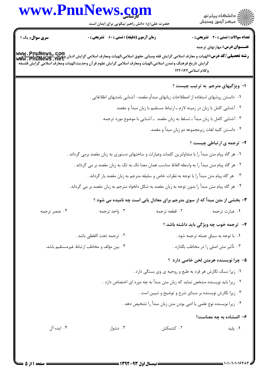## www.PnuNews.com

حضرت علی(ع): دانش راهبر نیکویی برای ایمان است

ے<br>دانشگاہ پیام نور ے<br>||7|| مرکز آزمون وسنجش

**تعداد سوالات : تستی : 30 ٪ تشریحی : 0** 

**عنـــوان درس:** مهارتهای ترجمه

**زمان آزمون (دقیقه) : تستی : 60 گشریحی: 0** 

**سری سوال :** یک ۱

**رشته تحصیلی/کد درس:**الهیات و معارف اسلامی گرایش فقه ومبانی حقوق اسلامی،الهیات ومعارف اسلامی گرایش ادیان وغرفان،الهیات ویعارفی اسلامی<br>Www . PriuNewS . Net گرايش تاريخ فرهنگ وتمدن اسلامي،الهيات ومعارف اسلامي گرايش علوم قرآن وحديث،الهيات ومعارف اسلامي گرايش فلسفه وكلام اسلامي ١٢٢٠١٤٢ ۱- ویژگیهای مترجم به ترتیب چیست ؟ ١. دانستن روشهای استفاده از اصطلاحات زبانهای مبدأو مقصد- آشنایی بامتنهای اطلاعاتی . ۰۲ آشنایی کامل با زبان در زمینه لازم ـ ارتباط مستقیم با زبان مبدأ و مقصد. ۰۳ آشنایی کامل با زبان مبدأ ــ تسلط به زبان مقصد ــ آشنایی با موضوع مورد ترجمه. ۰۴ دانستن کلیه لغات زیرمجموعه دو زبان مبدأ و مقصد. **۲-** ترجمه ی ارتباطی چیست ؟ ١. هر گاه پیام متن مبدأ را با متداولترین کلمات وعبارات و ساختهای دستوری به زبان مقصد برمی گرداند . ٢٠. هر گاه پيام متن ميدأ ١٫ به واسطه الفاظ مناسب همان معنا تک به تک به زبان مقصد بر مي گرداند . ۰۳ هر گاه پیام متن مبدأ را با توجه به نظرات خاص و سلیقه مترجم به زبان مقصد باز گرداند . ۰۴ هر گاه پیام متن مبدأ را بدون توجه به زبان مقصد به شکل دلخواه مترجم به زبان مقصد بر می گرداند .

٣- بخشي از متن مبدأ كه از سوى مترجم براي معادل پابي است چه ناميده مي شود ؟

| ۰۴ عنصر ترجمه |                                            | ۰۲ قطعه ترجمه                                                                | ۰۱ عبارت ترجمه                          |
|---------------|--------------------------------------------|------------------------------------------------------------------------------|-----------------------------------------|
|               |                                            |                                                                              | ۴- ترجمه خوب چه ویژگی باید داشته باشد ؟ |
|               | ٠٢ ترجمه تحت اللفظي باشد .                 |                                                                              | ۰۱ با توجه به سیاق جمله ترجمه شود .     |
|               | ۰۴ بین مؤلف و مخاطب ارتباط غیرمستقیم باشد. |                                                                              | ۰۳ تأثیر متن اصلی را در مخاطب بگذارد .  |
|               |                                            |                                                                              | ۵- چرا نویسنده هرمتن لحن خاصی دارد ؟    |
|               |                                            | ۰۱ زیرا سبک نگارش هر فرد به طبع و روحیه ی وی بستگی دارد .                    |                                         |
|               |                                            | ۰۲ زیرا باید نویسنده مشخص نماید که زبان متن مبدأ به چه دوره ای اختصاص دارد . |                                         |

- ۰۳ زیرا نگارش نویسنده بر مبنای شرح و توضیح و تبیین است .
- ۰۴ زیرا نویسنده نوع علمی یا ادبی بودن متن زبان مبدأ را تشخیص دهد .

۶- المشاده به چه معناست؟

۰۳ دشوار ۰۲ کشمکش ۰۱ يليد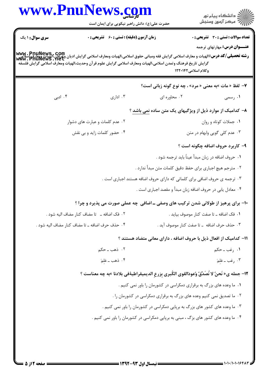|                        | حضرت علی(ع): دانش راهبر نیکویی برای ایمان است                                                                                                                                                                                                                                        |                                                                                    | ڪ دانشڪاه پيا <sub>م</sub> نور<br>//> مرڪز آزمون وسنڊش                               |
|------------------------|--------------------------------------------------------------------------------------------------------------------------------------------------------------------------------------------------------------------------------------------------------------------------------------|------------------------------------------------------------------------------------|--------------------------------------------------------------------------------------|
| <b>سری سوال : ۱ یک</b> | <b>زمان آزمون (دقیقه) : تستی : 60 ٪ تشریحی : 0</b>                                                                                                                                                                                                                                   |                                                                                    | <b>تعداد سوالات : تستی : 30 ٪ تشریحی : 0</b><br><b>عنــــوان درس:</b> مهارتهای ترجمه |
|                        | www . PnuNews , com<br>و <b>شته تحصیلی/کد درس:</b> الهیات و معارف اسلامی گرایش فقه ومبانی حقوق اسلامی،الهیات ومعارف اسلامی گرایش ادیان وعوی این<br>Www . PnuNewS . Net<br>گرايش تاريخ فرهنگ وتمدن اسلامى،الهيات ومعارف اسلامى گرايش علوم قرآن وحديث،الهيات ومعارف اسلامى گرايش فلسفه | وكلام اسلامي1۲۲۰۱۴۲                                                                |                                                                                      |
|                        |                                                                                                                                                                                                                                                                                      |                                                                                    | ۷- لفظ « مات »به معنی « مرد» ، چه نوع گونه زبانی است؟                                |
| ۰۴ ادبی                | ۰۳ اداری                                                                                                                                                                                                                                                                             | ۰۲ محاوره ای                                                                       | ۰۱ رسمی                                                                              |
|                        |                                                                                                                                                                                                                                                                                      |                                                                                    | ۸– کدامیک از موارد ذیل از ویژگیهای یک متن ساده نمی باشد ؟                            |
|                        | ۲. عدم کلمات و عبارت های دشوار                                                                                                                                                                                                                                                       |                                                                                    | ٠١. جملات كوتاه و روان                                                               |
|                        | ۰۴ حضور کلمات زاید و بی نقش                                                                                                                                                                                                                                                          |                                                                                    | ۰۳ عدم کلی گویی وابهام در متن                                                        |
|                        |                                                                                                                                                                                                                                                                                      |                                                                                    | ۹- کاربرد حروف اضافه چگونه است ؟                                                     |
|                        |                                                                                                                                                                                                                                                                                      |                                                                                    | ۰۱ حروف اضافه در زبان مبدأ عيناً بايد ترجمه شود .                                    |
|                        |                                                                                                                                                                                                                                                                                      | ۰۲ مترجم هیچ اجباری برای حفظ دقیق کلمات متن مبدأ ندارد .                           |                                                                                      |
|                        |                                                                                                                                                                                                                                                                                      | ۰۳ ترجمه ی حروف اضافی برای کلماتی که دارای حروف اضافه هستند اجباری است .           |                                                                                      |
|                        |                                                                                                                                                                                                                                                                                      | ۰۴ معادل يابي در حروف اضافه زبان مبدأ و مقصد اجباري است .                          |                                                                                      |
|                        | ۱۰- برای پرهیز از طولانی شدن ترکیب های وصفی ـ اضافی چه عملی صورت می پذیرد و چرا ؟                                                                                                                                                                                                    |                                                                                    |                                                                                      |
|                        | ۲ . فک اضافه ـــ تا مضاف کنار مضاف اليه شود .                                                                                                                                                                                                                                        |                                                                                    | ٠١ فک اضافه ـ تا صفت کنار موصوف بيايد .                                              |
|                        | ۰۴ حذف حرف اضافه ـ تا مضاف کنار مضاف اليه شود .                                                                                                                                                                                                                                      |                                                                                    | ۰۳ حذف حرف اضافه _ تا صفت كنار موصوف آيد .                                           |
|                        |                                                                                                                                                                                                                                                                                      | ۱۱– کدامیک از افعال ذیل با حروف اضافه ، دارای معانی متضاد هستند ؟                  |                                                                                      |
|                        | ۰۲ ذهب ــ حکم                                                                                                                                                                                                                                                                        |                                                                                    | ۰۱ رغب ــ حکم                                                                        |
|                        | ۰۴ ذهب ـ عَلَمَ                                                                                                                                                                                                                                                                      |                                                                                    | ۰۳ رغب ـ عَلمَ                                                                       |
|                        | 12- جمله ى« نَحنٌ لا نُصَدِّقٌ وُعودالقوى الكُبرى بِزرعِ الديميقراطيةفي بلادنا »به چه معناست ؟                                                                                                                                                                                       |                                                                                    |                                                                                      |
|                        |                                                                                                                                                                                                                                                                                      | ۰۱ ما وعده های بزرگ به برقراری دمکراسی در کشورمان را باور نمی کنیم .               |                                                                                      |
|                        |                                                                                                                                                                                                                                                                                      | ۰۲ ما تصدیق نمی کنیم وعده های بزرگ به برقراری دمکراسی در کشورمان را .              |                                                                                      |
|                        |                                                                                                                                                                                                                                                                                      | ۰۳ ما وعده های کشور های بزرگ به برپایی دمکراسی در کشورمان را باور نمی کنیم .       |                                                                                      |
|                        |                                                                                                                                                                                                                                                                                      | ۰۴ ما وعده های کشور های بزگ ، مبنی به برپایی دمکراسی در کشورمان را باور نمی کنیم . |                                                                                      |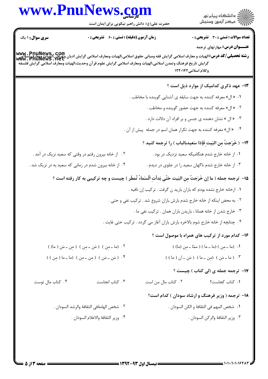|                        | www.PnuNews.com<br>حضرت علی(ع): دانش راهبر نیکویی برای ایمان است                                                                                                                                                                                                                 | الاد دانشگاه پيام نور<br>  پر مرکز آزمون وسنجش                                |
|------------------------|----------------------------------------------------------------------------------------------------------------------------------------------------------------------------------------------------------------------------------------------------------------------------------|-------------------------------------------------------------------------------|
| سری سوال: ۱ یک $\Vert$ | <b>زمان آزمون (دقیقه) : تستی : 60 گشریحی : 0</b>                                                                                                                                                                                                                                 | <b>تعداد سوالات : تستی : 30 ٪ تشریحی : 0</b>                                  |
|                        | www. PnuNews,. Com<br>  سنة تحصيلي/كد درس:الهيات و معارف اسلامي گرايش فقه ومباني حقوق اسلامي،الهيات ومعارف اسلامي گرايش اديان ويل اين استا<br>  www. PnuNews . net<br>گرايش تاريخ فرهنگ وتمدن اسلامى،الهيات ومعارف اسلامى گرايش علوم قرآن وحديث،الهيات ومعارف اسلامى گرايش فلسفه | <b>عنـــوان درس:</b> مهارتهای ترجمه<br>وكلام اسلامى١٢٢٠١۴٢                    |
|                        |                                                                                                                                                                                                                                                                                  | ۱۳- عهد ذکری کدامیک از موارد ذیل است ؟                                        |
|                        |                                                                                                                                                                                                                                                                                  | ۰۱ « ال» معرفه کننده به جهت سابقه ی آشنایی گوینده با مخاطب .                  |
|                        |                                                                                                                                                                                                                                                                                  | ۰۲ « ال» معرفه کننده به جهت حضور گوینده و مخاطب .                             |
|                        |                                                                                                                                                                                                                                                                                  | ۰۳ « ال » نشان دهنده ی جنس و بر افراد آن دلالت دارد .                         |
|                        |                                                                                                                                                                                                                                                                                  | ۰۴ × ال» معرفه کننده به جهت تکرار همان اسم در جمله پیش از آن .                |
|                        |                                                                                                                                                                                                                                                                                  | ١۴- ( خَرَجتٌ مِن البَيتِ فَإِذا سَعيدبالباب ) را ترجمه كنيد ؟                |
|                        | ۰۲ از خانه بیرون رفتم در وقتی که سعید نزیک در آمد .                                                                                                                                                                                                                              | ۰۱ از خانه خارج شدم هنگامیکه سعید نزدیک در بود .                              |
|                        | ۰۴ از خانه بیرون شدم در زمانی که سعید به در نزیک شد .                                                                                                                                                                                                                            | ۰۳ از خانه خارج شدم ناگهان سعید را در جلوی در دیدم .                          |
|                        | ۱۵− ترجمه جمله ( ما إن خَرَجتُ مِن البَيت حَتّى بَدأتِ السَماءُ تُمطَر ) چيست و چه تركيبى به كار رفته است ؟                                                                                                                                                                      |                                                                               |
|                        |                                                                                                                                                                                                                                                                                  | ۰۱ ازخانه خارج نشده بودم که باران بارید ن گرفت . ترکیب إن نافیه .             |
|                        |                                                                                                                                                                                                                                                                                  | ۰۲ به محض اینکه از خانه خارج شدم بارش باران شروع شد . ترکیب نفی و حتی .       |
|                        |                                                                                                                                                                                                                                                                                  | ۰۳ خارج شدن از خانه همانا ، باريدن باران همان . تركيب نفي ما .                |
|                        |                                                                                                                                                                                                                                                                                  | ۰۴ چنانچه از خانه خارج شوم بالاخره بارش باران آغاز می گردد . ترکیب حتی غایت . |
|                        |                                                                                                                                                                                                                                                                                  | ۱۶- کدام مورد از ترکیب های همراه با موصول است ؟                               |
|                        |                                                                                                                                                                                                                                                                                  |                                                                               |

۰۲ (ما ـ مِن ) (مَن ـ مِن ) (مِن ـ مَن ( ما) ) ٠١ (ما ـ مِن ) (ما ـ ما ) ( ممّا ـ مِن (ما) ) ۴. (مَن ـ مَن ) (مِن ـ مِن ) (ما ـ ما (مِن ) ) ۴. (ما ـ مَن ) (من ـ ما ) (مَن ـ ان ( ما ) )

## ۱۷- ترجمه جمله ی (لی کتاب ) چیست ؟

۰۴ کتاب مال توست ۰۳ کتاب انجاست ۰۲ کتاب مال من است ۰۱ کتاب کجاست؟

## **۱۸**- ترجمه ( وزیر فرهنگ و ارشاد سودان ) کدام است؟

- **١.** شخص المهم في الثقافهٔ و الكن السودان . ٢٠ شخص الهامهٔفي الثقافهٔ والرشد السودان . ۴. وزير الثقافهٔ والاعلام السودان .
	- ٠٣ وزير الثقافهٔ والركن السودان .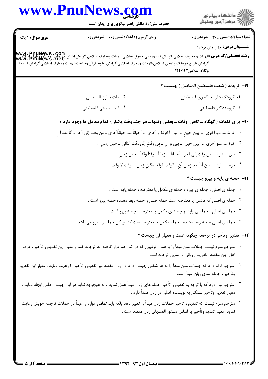|                        | www.PnuNews.com<br>حضرت علی(ع): دانش راهبر نیکویی برای ایمان است                                                                                                                                                                | الا دانشگاه پيام نور<br>  > مرکز آزمون وسنجش                                             |
|------------------------|---------------------------------------------------------------------------------------------------------------------------------------------------------------------------------------------------------------------------------|------------------------------------------------------------------------------------------|
| <b>سری سوال :</b> ۱ یک | <b>زمان آزمون (دقیقه) : تستی : 60 ٪ تشریحی : 0</b><br> www . PnuNews , Com<br>  ر <b>شته تحصیلی/کد درس:</b> الهیات و معارف اسلامی گرایش فقه ومبانی حقوق اسلامی،الهیات ومعارف اسلامی گرایش و علی اسلامی<br>  www . PnuNews . Net | <b>تعداد سوالات : تستی : 30 - تشریحی : 0</b><br><b>عنـــوان درس:</b> مهارتهای ترجمه      |
|                        | گرایش تاریخ فرهنگ وتمدن اسلامی،الهیات ومعارف اسلامی گرایش علوم قر آن وحدیث،الهیات ومعارف اسلامی گرایش فلسفه                                                                                                                     | وكلام اسلامي1۲۲۰۱۴۲                                                                      |
|                        |                                                                                                                                                                                                                                 | 1۹– ترجمه ( شعب فلسطين المناضل ) چيست ؟                                                  |
|                        | ۰۲ ملت مبارز فلسطيني.                                                                                                                                                                                                           | ٠١ گروهک های جنگجوی فلسطيني.                                                             |
|                        | ۰۴ امت بسیجی فلسطینی.                                                                                                                                                                                                           | ۰۳ گروه فداکار فلسطینی.                                                                  |
|                        | ۲۰- برای کلمات ( گهگاه ــ گاهی اوقات ــ بعضی وقتها ــ هر چند وقت یکبار ) کدام معادل ها وجود دارد ؟                                                                                                                              |                                                                                          |
|                        | ١.   تارۂو أخرى  ـ  بين حينٍ  ـ  بين آخرتهٔ و أخرى  ـ أحياناً احيانأأخرى ــ من وقت إلى آخر ــ آناً بعد آنٍ .                                                                                                                    |                                                                                          |
|                        |                                                                                                                                                                                                                                 | ٢.   تارۂو اُخرى  ــ  بين حينٍ  ــ بينَ و آنٍ ــ مِن وقتٍ إلى وقت الثانى ــ حين زمانٍ  . |
|                        |                                                                                                                                                                                                                                 | ٠٣ بينَ:تاره  ـ من وقت إلى آخر ـ أحياناً زماناً ـ وقتاً وقتاً ـ حين زمانٍ                |
|                        |                                                                                                                                                                                                                                 | ٠۴ تاره تاره  ـ  بين آناً بعد زمانٍ آنٍ ـ الوقت الوقتـ مكانٍ زمانٍ ـ  وقت لا وقت .       |
|                        |                                                                                                                                                                                                                                 | <b>31- جمله ی پایه و پیرو چیست</b> ؟                                                     |
|                        |                                                                                                                                                                                                                                 | ۰۱ جمله ی اصلی ، جمله ی پیرو و جمله ی مکمل یا معترضه ، جمله پایه است                     |
|                        | ۰۲ جمله ی اصلی که مکمل یا معترضه است جمله اصلی و جمله ربط دهنده جمله پیرو است .                                                                                                                                                 |                                                                                          |
|                        |                                                                                                                                                                                                                                 | ۰۳ جمله ی اصلی ، جمله ی پایه و جمله ی مکمل یا معترضه ، جمله پیرو است                     |
|                        | ۰۴ جمله ی اصلی جمله ربط دهنده ، جمله مکمل یا معترضه است که در کل جمله ی پیرو می باشد .                                                                                                                                          |                                                                                          |
|                        |                                                                                                                                                                                                                                 | ۲۲- تقدیم وتأخر در ترجمه چگونه است و معیار آن چیست ؟                                     |
|                        | ۰۱ مترجم ملزم نیست جملات متن مبدأ را با همان ترتیبی که در کنار هم قرار گرفته اند ترجمه کند و معیار این تقدیم و تأخیر ، عرف                                                                                                      | اهل زبان مقصد وافزايش رواني و رسايي ترجمه است.                                           |
|                        | ۰۲ مترجم الزام دارد که جملات متن مبدأ را به هر شکلی چینش دارد در زبان مقصد نیز تقدیم و تأخیر را رعایت نماید . معیار این تقدیم                                                                                                   | وتأخير ، جمله بندي زبان مبدأ است .                                                       |
|                        | ۰۳ مترجم نیاز دارد که با توجه به تقدیم و تأخیر جمله های زبان مبدأ عمل نماید و به هیچوجه نباید در این چینش خللی ایجاد نماید .                                                                                                    | معیار تقدیم وتأخیر بستگی به نویسنده اصلی در زبان مبدأ دارد .                             |
|                        | ۰۴ مترجم ملزم نيست كه تقديم و تأخير جملات زبان مبدأ را تغيير دهد بلكه بايد تمامى موارد را عيناً در جملات ترجمه خويش رعايت                                                                                                       |                                                                                          |